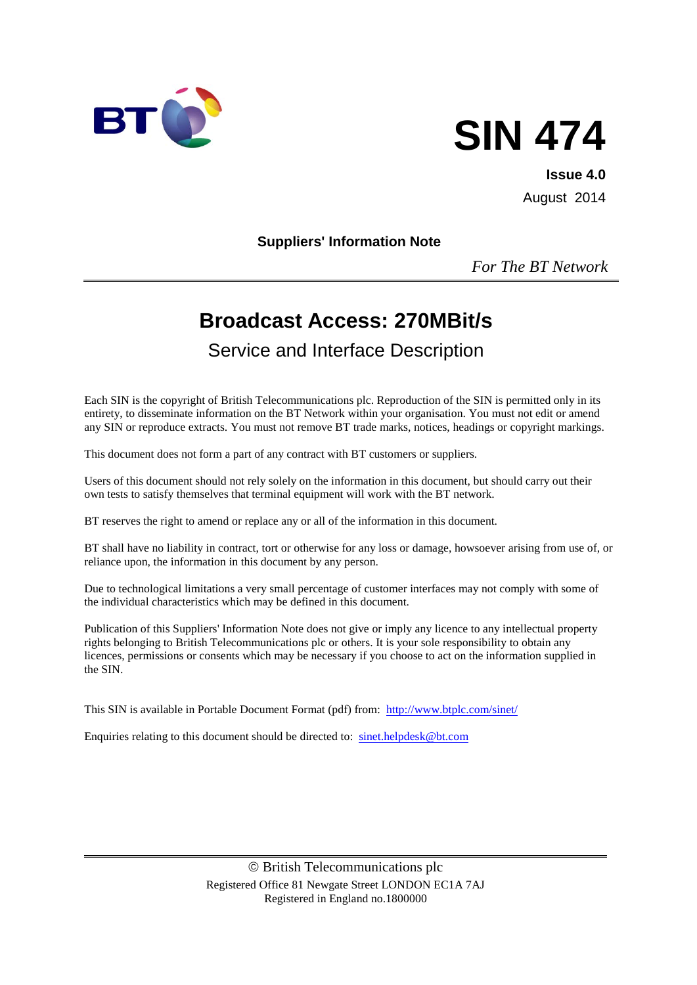

# **SIN 474**

**Issue 4.0** August 2014

#### **Suppliers' Information Note**

*For The BT Network*

# **Broadcast Access: 270MBit/s**

# Service and Interface Description

Each SIN is the copyright of British Telecommunications plc. Reproduction of the SIN is permitted only in its entirety, to disseminate information on the BT Network within your organisation. You must not edit or amend any SIN or reproduce extracts. You must not remove BT trade marks, notices, headings or copyright markings.

This document does not form a part of any contract with BT customers or suppliers.

Users of this document should not rely solely on the information in this document, but should carry out their own tests to satisfy themselves that terminal equipment will work with the BT network.

BT reserves the right to amend or replace any or all of the information in this document.

BT shall have no liability in contract, tort or otherwise for any loss or damage, howsoever arising from use of, or reliance upon, the information in this document by any person.

Due to technological limitations a very small percentage of customer interfaces may not comply with some of the individual characteristics which may be defined in this document.

Publication of this Suppliers' Information Note does not give or imply any licence to any intellectual property rights belonging to British Telecommunications plc or others. It is your sole responsibility to obtain any licences, permissions or consents which may be necessary if you choose to act on the information supplied in the SIN.

This SIN is available in Portable Document Format (pdf) from: <http://www.btplc.com/sinet/>

Enquiries relating to this document should be directed to: [sinet.helpdesk@bt.com](mailto:sinet.helpdesk@bt.com)

 British Telecommunications plc Registered Office 81 Newgate Street LONDON EC1A 7AJ Registered in England no.1800000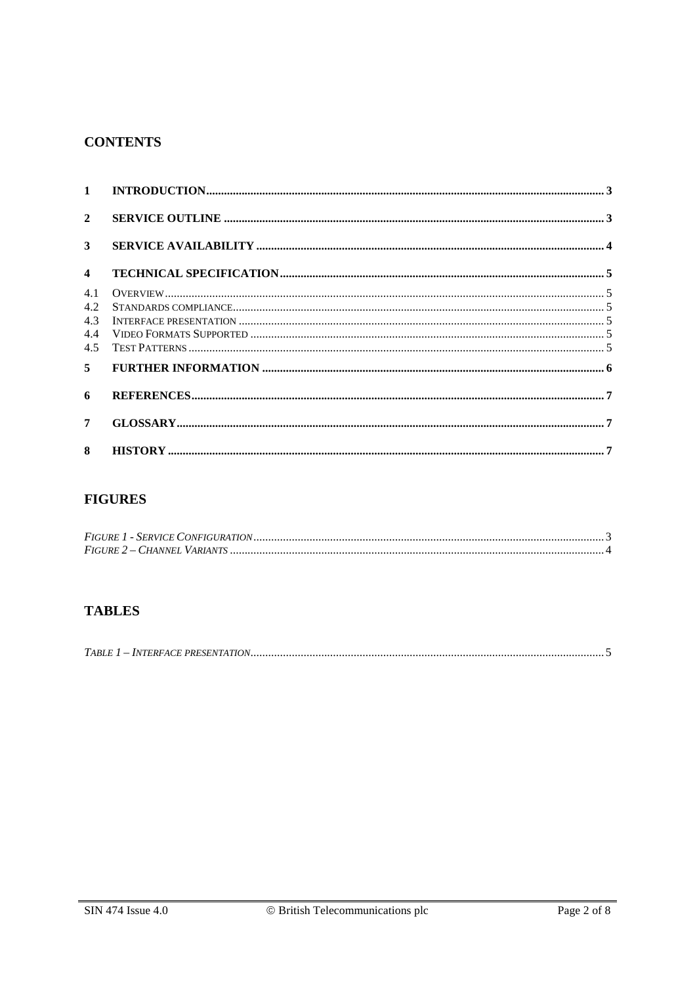#### **CONTENTS**

| $1 \quad$                       | $\bf INTRODUCTION. 3$ |  |
|---------------------------------|-----------------------|--|
| $\mathbf{2}$                    |                       |  |
| 3 <sup>1</sup>                  |                       |  |
| $\overline{\mathbf{4}}$         |                       |  |
| 4.1<br>4.2<br>4.3<br>4.4<br>4.5 |                       |  |
| 5                               |                       |  |
| 6                               |                       |  |
| 7 <sup>7</sup>                  |                       |  |
| 8                               |                       |  |

# **FIGURES**

# **TABLES**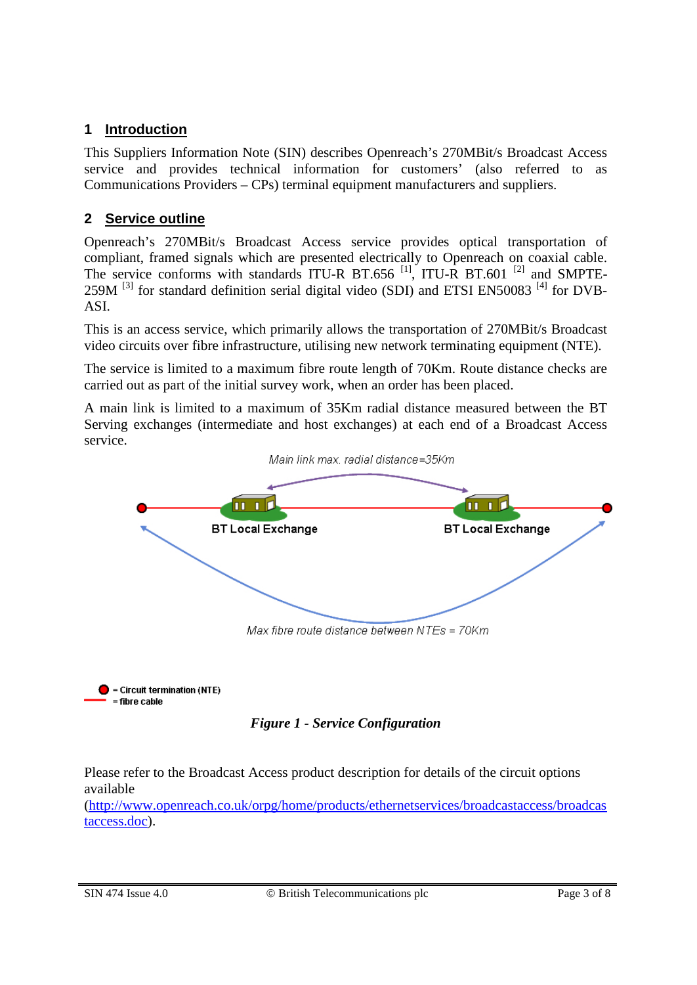## **1 Introduction**

This Suppliers Information Note (SIN) describes Openreach's 270MBit/s Broadcast Access service and provides technical information for customers' (also referred to as Communications Providers – CPs) terminal equipment manufacturers and suppliers.

# **2 Service outline**

Openreach's 270MBit/s Broadcast Access service provides optical transportation of compliant, framed signals which are presented electrically to Openreach on coaxial cable. The service conforms with standards ITU-R BT.656<sup>[1]</sup>, ITU-R BT.601<sup>[2]</sup> and SMPTE- $259M$ <sup>[3]</sup> for standard definition serial digital video (SDI) and ETSI EN50083<sup>[4]</sup> for DVB-ASI.

This is an access service, which primarily allows the transportation of 270MBit/s Broadcast video circuits over fibre infrastructure, utilising new network terminating equipment (NTE).

The service is limited to a maximum fibre route length of 70Km. Route distance checks are carried out as part of the initial survey work, when an order has been placed.

A main link is limited to a maximum of 35Km radial distance measured between the BT Serving exchanges (intermediate and host exchanges) at each end of a Broadcast Access service.





Please refer to the Broadcast Access product description for details of the circuit options available

[\(http://www.openreach.co.uk/orpg/home/products/ethernetservices/broadcastaccess/broadcas](http://www.openreach.co.uk/orpg/home/products/ethernetservices/broadcastaccess/broadcastaccess.doc) [taccess.doc\)](http://www.openreach.co.uk/orpg/home/products/ethernetservices/broadcastaccess/broadcastaccess.doc).

= fibre cable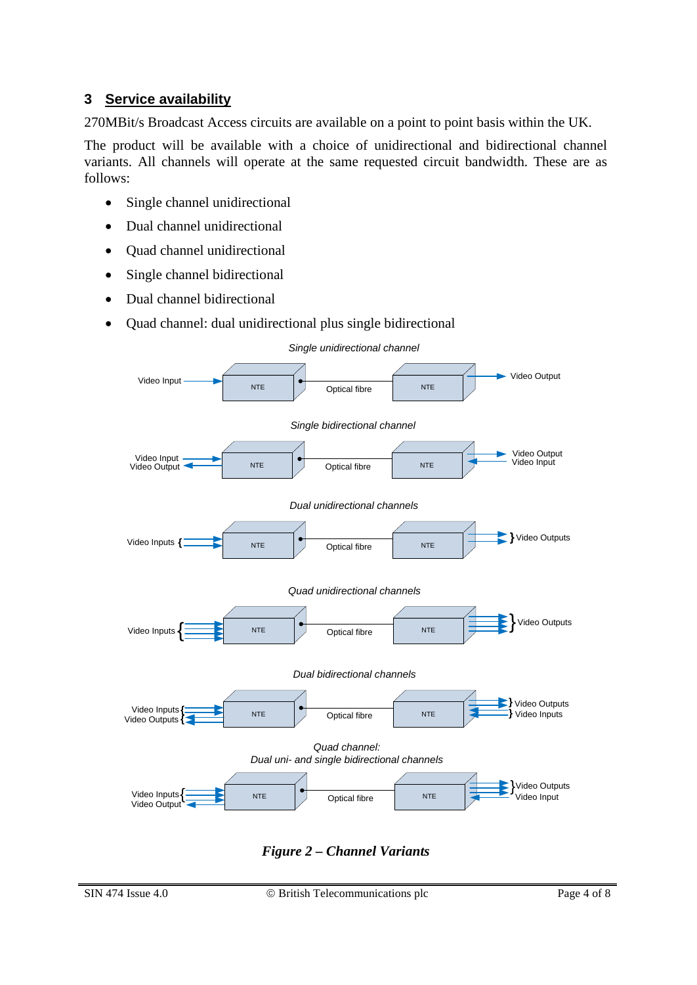#### **3 Service availability**

270MBit/s Broadcast Access circuits are available on a point to point basis within the UK.

The product will be available with a choice of unidirectional and bidirectional channel variants. All channels will operate at the same requested circuit bandwidth. These are as follows:

- Single channel unidirectional
- Dual channel unidirectional
- Ouad channel unidirectional
- Single channel bidirectional
- Dual channel bidirectional
- Quad channel: dual unidirectional plus single bidirectional



*Figure 2 – Channel Variants*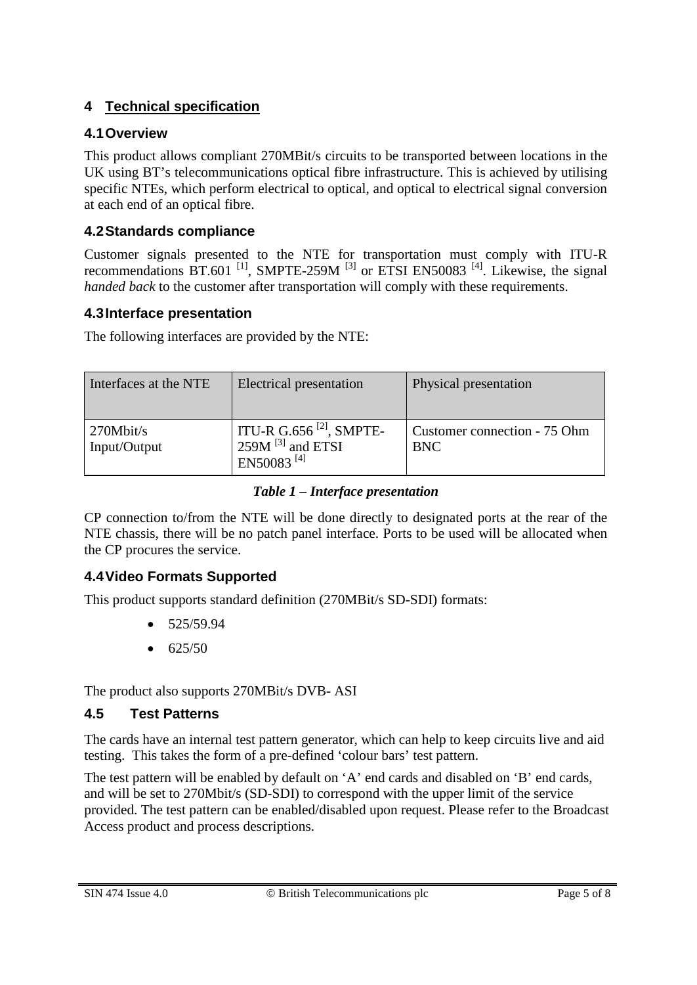# **4 Technical specification**

#### **4.1Overview**

This product allows compliant 270MBit/s circuits to be transported between locations in the UK using BT's telecommunications optical fibre infrastructure. This is achieved by utilising specific NTEs, which perform electrical to optical, and optical to electrical signal conversion at each end of an optical fibre.

#### **4.2Standards compliance**

Customer signals presented to the NTE for transportation must comply with ITU-R recommendations  $BT.601$ <sup>[1]</sup>, SMPTE-259M<sup>[3]</sup> or ETSI EN50083<sup>[4]</sup>. Likewise, the signal *handed back* to the customer after transportation will comply with these requirements.

#### **4.3Interface presentation**

The following interfaces are provided by the NTE:

| Interfaces at the NTE     | Electrical presentation                                                                         | Physical presentation                      |
|---------------------------|-------------------------------------------------------------------------------------------------|--------------------------------------------|
| 270Mbit/s<br>Input/Output | ITU-R G.656 <sup>[2]</sup> , SMPTE-<br>$259M$ <sup>[3]</sup> and ETSI<br>EN50083 <sup>[4]</sup> | Customer connection - 75 Ohm<br><b>BNC</b> |

#### *Table 1 – Interface presentation*

<span id="page-4-0"></span>CP connection to/from the NTE will be done directly to designated ports at the rear of the NTE chassis, there will be no patch panel interface. Ports to be used will be allocated when the CP procures the service.

#### **4.4Video Formats Supported**

This product supports standard definition (270MBit/s SD-SDI) formats:

- 525/59.94
- 625/50

The product also supports 270MBit/s DVB- ASI

#### **4.5 Test Patterns**

The cards have an internal test pattern generator, which can help to keep circuits live and aid testing. This takes the form of a pre-defined 'colour bars' test pattern.

The test pattern will be enabled by default on 'A' end cards and disabled on 'B' end cards, and will be set to 270Mbit/s (SD-SDI) to correspond with the upper limit of the service provided. The test pattern can be enabled/disabled upon request. Please refer to the Broadcast Access product and process descriptions.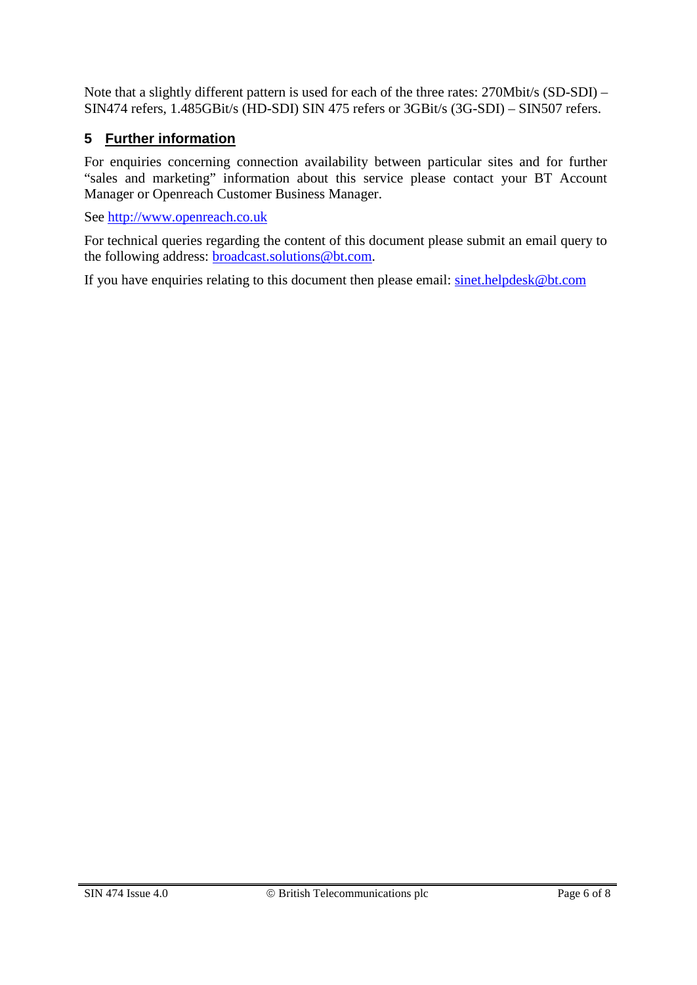Note that a slightly different pattern is used for each of the three rates: 270Mbit/s (SD-SDI) – SIN474 refers, 1.485GBit/s (HD-SDI) SIN 475 refers or 3GBit/s (3G-SDI) – SIN507 refers.

#### **5 Further information**

For enquiries concerning connection availability between particular sites and for further "sales and marketing" information about this service please contact your BT Account Manager or Openreach Customer Business Manager.

See [http://www.openreach.co.uk](http://www.openreach.co.uk/)

For technical queries regarding the content of this document please submit an email query to the following address: [broadcast.solutions@bt.com.](mailto:broadcast.solutions@bt.com)

If you have enquiries relating to this document then please email: [sinet.helpdesk@bt.com](mailto:sinet.helpdesk@bt.com)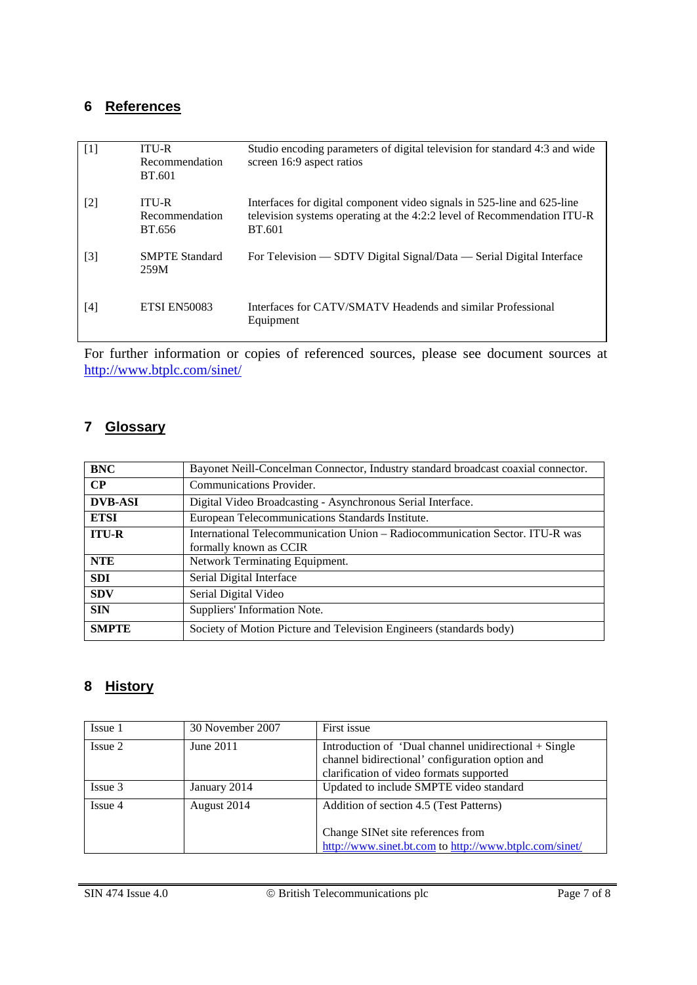#### **6 References**

| $\lceil 1 \rceil$ | <b>ITU-R</b><br>Recommendation<br>BT.601 | Studio encoding parameters of digital television for standard 4:3 and wide<br>screen 16:9 aspect ratios                                                             |
|-------------------|------------------------------------------|---------------------------------------------------------------------------------------------------------------------------------------------------------------------|
| $[2]$             | <b>ITU-R</b><br>Recommendation<br>BT.656 | Interfaces for digital component video signals in 525-line and 625-line<br>television systems operating at the 4:2:2 level of Recommendation ITU-R<br><b>BT.601</b> |
| $[3]$             | <b>SMPTE Standard</b><br>259M            | For Television — SDTV Digital Signal/Data — Serial Digital Interface                                                                                                |
| [4]               | <b>ETSI EN50083</b>                      | Interfaces for CATV/SMATV Headends and similar Professional<br>Equipment                                                                                            |

For further information or copies of referenced sources, please see document sources at <http://www.btplc.com/sinet/>

#### **7 Glossary**

| <b>BNC</b>     | Bayonet Neill-Concelman Connector, Industry standard broadcast coaxial connector.                      |
|----------------|--------------------------------------------------------------------------------------------------------|
| $\bf CP$       | Communications Provider.                                                                               |
| <b>DVB-ASI</b> | Digital Video Broadcasting - Asynchronous Serial Interface.                                            |
| <b>ETSI</b>    | European Telecommunications Standards Institute.                                                       |
| <b>ITU-R</b>   | International Telecommunication Union - Radiocommunication Sector. ITU-R was<br>formally known as CCIR |
| <b>NTE</b>     | Network Terminating Equipment.                                                                         |
| <b>SDI</b>     | Serial Digital Interface                                                                               |
| <b>SDV</b>     | Serial Digital Video                                                                                   |
| <b>SIN</b>     | Suppliers' Information Note.                                                                           |
| <b>SMPTE</b>   | Society of Motion Picture and Television Engineers (standards body)                                    |

# **8 History**

| Issue 1 | 30 November 2007 | First issue                                                                                                                                          |
|---------|------------------|------------------------------------------------------------------------------------------------------------------------------------------------------|
| Issue 2 | June 2011        | Introduction of 'Dual channel unidirectional + Single<br>channel bidirectional' configuration option and<br>clarification of video formats supported |
| Issue 3 | January 2014     | Updated to include SMPTE video standard                                                                                                              |
| Issue 4 | August 2014      | Addition of section 4.5 (Test Patterns)<br>Change SINet site references from                                                                         |
|         |                  | http://www.sinet.bt.com to http://www.btplc.com/sinet/                                                                                               |